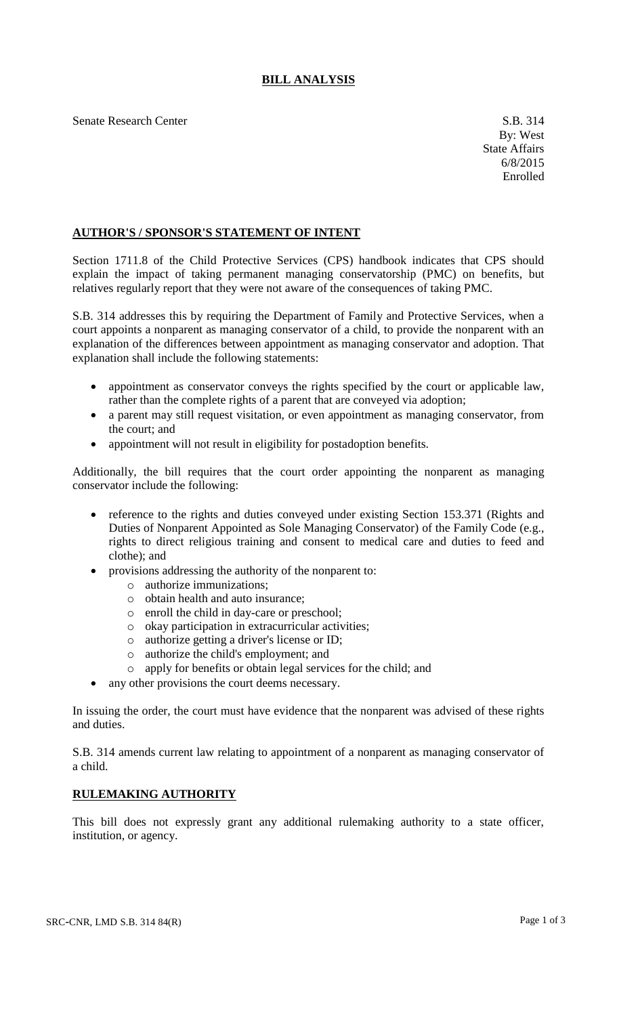## **BILL ANALYSIS**

Senate Research Center S.B. 314

## **AUTHOR'S / SPONSOR'S STATEMENT OF INTENT**

Section 1711.8 of the Child Protective Services (CPS) handbook indicates that CPS should explain the impact of taking permanent managing conservatorship (PMC) on benefits, but relatives regularly report that they were not aware of the consequences of taking PMC.

S.B. 314 addresses this by requiring the Department of Family and Protective Services, when a court appoints a nonparent as managing conservator of a child, to provide the nonparent with an explanation of the differences between appointment as managing conservator and adoption. That explanation shall include the following statements:

- appointment as conservator conveys the rights specified by the court or applicable law, rather than the complete rights of a parent that are conveyed via adoption;
- a parent may still request visitation, or even appointment as managing conservator, from the court; and
- appointment will not result in eligibility for postadoption benefits.

Additionally, the bill requires that the court order appointing the nonparent as managing conservator include the following:

- reference to the rights and duties conveyed under existing Section 153.371 (Rights and Duties of Nonparent Appointed as Sole Managing Conservator) of the Family Code (e.g., rights to direct religious training and consent to medical care and duties to feed and clothe); and
- provisions addressing the authority of the nonparent to:
	- o authorize immunizations;
	- o obtain health and auto insurance;
	- o enroll the child in day-care or preschool;
	- o okay participation in extracurricular activities;
	- o authorize getting a driver's license or ID;
	- o authorize the child's employment; and
	- o apply for benefits or obtain legal services for the child; and
- any other provisions the court deems necessary.

In issuing the order, the court must have evidence that the nonparent was advised of these rights and duties.

S.B. 314 amends current law relating to appointment of a nonparent as managing conservator of a child.

## **RULEMAKING AUTHORITY**

This bill does not expressly grant any additional rulemaking authority to a state officer, institution, or agency.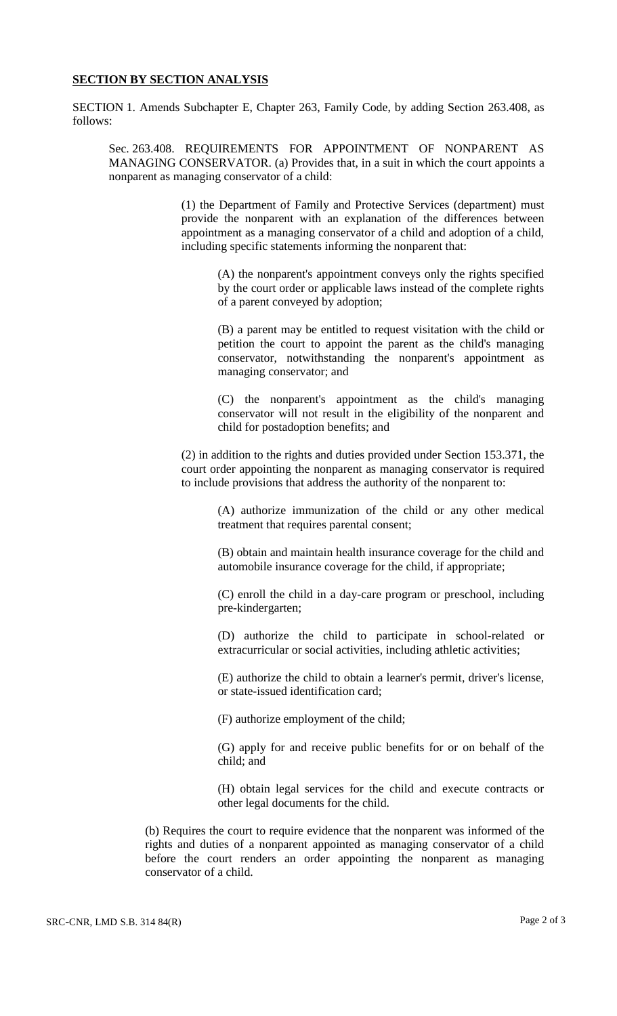## **SECTION BY SECTION ANALYSIS**

SECTION 1. Amends Subchapter E, Chapter 263, Family Code, by adding Section 263.408, as follows:

Sec. 263.408. REQUIREMENTS FOR APPOINTMENT OF NONPARENT AS MANAGING CONSERVATOR. (a) Provides that, in a suit in which the court appoints a nonparent as managing conservator of a child:

> (1) the Department of Family and Protective Services (department) must provide the nonparent with an explanation of the differences between appointment as a managing conservator of a child and adoption of a child, including specific statements informing the nonparent that:

(A) the nonparent's appointment conveys only the rights specified by the court order or applicable laws instead of the complete rights of a parent conveyed by adoption;

(B) a parent may be entitled to request visitation with the child or petition the court to appoint the parent as the child's managing conservator, notwithstanding the nonparent's appointment as managing conservator; and

(C) the nonparent's appointment as the child's managing conservator will not result in the eligibility of the nonparent and child for postadoption benefits; and

(2) in addition to the rights and duties provided under Section 153.371, the court order appointing the nonparent as managing conservator is required to include provisions that address the authority of the nonparent to:

> (A) authorize immunization of the child or any other medical treatment that requires parental consent;

> (B) obtain and maintain health insurance coverage for the child and automobile insurance coverage for the child, if appropriate;

> (C) enroll the child in a day-care program or preschool, including pre-kindergarten;

> (D) authorize the child to participate in school-related or extracurricular or social activities, including athletic activities;

> (E) authorize the child to obtain a learner's permit, driver's license, or state-issued identification card;

(F) authorize employment of the child;

(G) apply for and receive public benefits for or on behalf of the child; and

(H) obtain legal services for the child and execute contracts or other legal documents for the child.

(b) Requires the court to require evidence that the nonparent was informed of the rights and duties of a nonparent appointed as managing conservator of a child before the court renders an order appointing the nonparent as managing conservator of a child.